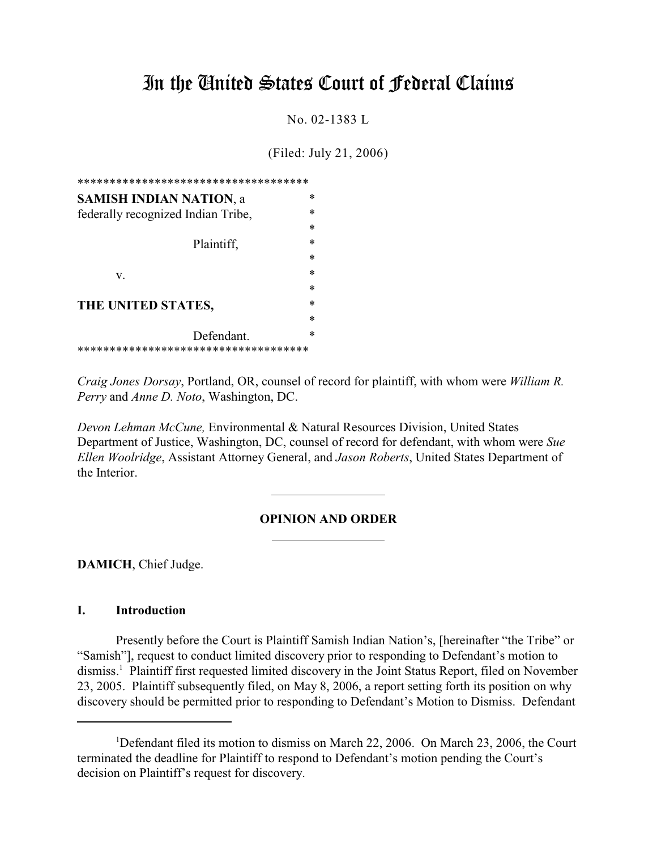# In the United States Court of Federal Claims

No. 02-1383 L

(Filed: July 21, 2006)

| ************************************* |        |
|---------------------------------------|--------|
| <b>SAMISH INDIAN NATION, a</b>        | ∗      |
| federally recognized Indian Tribe,    | $\ast$ |
|                                       | $\ast$ |
| Plaintiff,                            | *      |
|                                       | *      |
| v.                                    | $\ast$ |
|                                       | *      |
| THE UNITED STATES,                    | *      |
|                                       | $\ast$ |
| Defendant.                            | *      |
| ************************************  |        |

*Craig Jones Dorsay*, Portland, OR, counsel of record for plaintiff, with whom were *William R. Perry* and *Anne D. Noto*, Washington, DC.

*Devon Lehman McCune,* Environmental & Natural Resources Division, United States Department of Justice, Washington, DC, counsel of record for defendant, with whom were *Sue Ellen Woolridge*, Assistant Attorney General, and *Jason Roberts*, United States Department of the Interior.

 $\overline{a}$ 

## **OPINION AND ORDER**

**DAMICH**, Chief Judge.

## **I. Introduction**

Presently before the Court is Plaintiff Samish Indian Nation's, [hereinafter "the Tribe" or "Samish"], request to conduct limited discovery prior to responding to Defendant's motion to dismiss.<sup>1</sup> Plaintiff first requested limited discovery in the Joint Status Report, filed on November 23, 2005. Plaintiff subsequently filed, on May 8, 2006, a report setting forth its position on why discovery should be permitted prior to responding to Defendant's Motion to Dismiss. Defendant

<sup>&</sup>lt;sup>1</sup>Defendant filed its motion to dismiss on March 22, 2006. On March 23, 2006, the Court terminated the deadline for Plaintiff to respond to Defendant's motion pending the Court's decision on Plaintiff's request for discovery.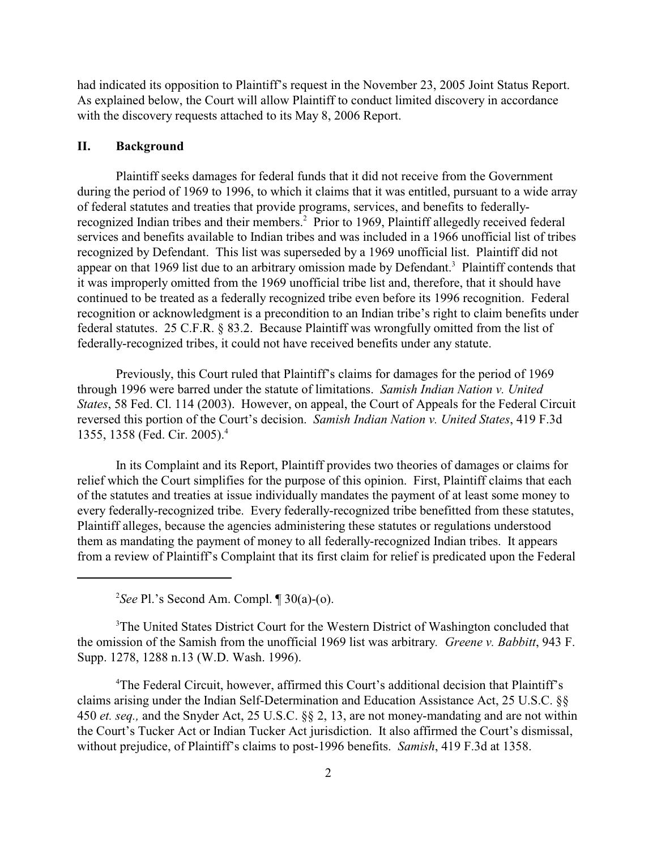had indicated its opposition to Plaintiff's request in the November 23, 2005 Joint Status Report. As explained below, the Court will allow Plaintiff to conduct limited discovery in accordance with the discovery requests attached to its May 8, 2006 Report.

#### **II. Background**

Plaintiff seeks damages for federal funds that it did not receive from the Government during the period of 1969 to 1996, to which it claims that it was entitled, pursuant to a wide array of federal statutes and treaties that provide programs, services, and benefits to federallyrecognized Indian tribes and their members.<sup>2</sup> Prior to 1969, Plaintiff allegedly received federal services and benefits available to Indian tribes and was included in a 1966 unofficial list of tribes recognized by Defendant. This list was superseded by a 1969 unofficial list. Plaintiff did not appear on that 1969 list due to an arbitrary omission made by Defendant.<sup>3</sup> Plaintiff contends that it was improperly omitted from the 1969 unofficial tribe list and, therefore, that it should have continued to be treated as a federally recognized tribe even before its 1996 recognition. Federal recognition or acknowledgment is a precondition to an Indian tribe's right to claim benefits under federal statutes. 25 C.F.R. § 83.2. Because Plaintiff was wrongfully omitted from the list of federally-recognized tribes, it could not have received benefits under any statute.

Previously, this Court ruled that Plaintiff's claims for damages for the period of 1969 through 1996 were barred under the statute of limitations. *Samish Indian Nation v. United States*, 58 Fed. Cl. 114 (2003). However, on appeal, the Court of Appeals for the Federal Circuit reversed this portion of the Court's decision. *Samish Indian Nation v. United States*, 419 F.3d 1355, 1358 (Fed. Cir. 2005).<sup>4</sup>

In its Complaint and its Report, Plaintiff provides two theories of damages or claims for relief which the Court simplifies for the purpose of this opinion. First, Plaintiff claims that each of the statutes and treaties at issue individually mandates the payment of at least some money to every federally-recognized tribe. Every federally-recognized tribe benefitted from these statutes, Plaintiff alleges, because the agencies administering these statutes or regulations understood them as mandating the payment of money to all federally-recognized Indian tribes. It appears from a review of Plaintiff's Complaint that its first claim for relief is predicated upon the Federal

<sup>2</sup>See Pl.'s Second Am. Compl.  $\P$  30(a)-(o).

<sup>3</sup>The United States District Court for the Western District of Washington concluded that the omission of the Samish from the unofficial 1969 list was arbitrary*. Greene v. Babbitt*, 943 F. Supp. 1278, 1288 n.13 (W.D. Wash. 1996).

<sup>4</sup>The Federal Circuit, however, affirmed this Court's additional decision that Plaintiff's claims arising under the Indian Self-Determination and Education Assistance Act, 25 U.S.C. §§ 450 *et. seq.,* and the Snyder Act, 25 U.S.C. §§ 2, 13, are not money-mandating and are not within the Court's Tucker Act or Indian Tucker Act jurisdiction. It also affirmed the Court's dismissal, without prejudice, of Plaintiff's claims to post-1996 benefits. *Samish*, 419 F.3d at 1358.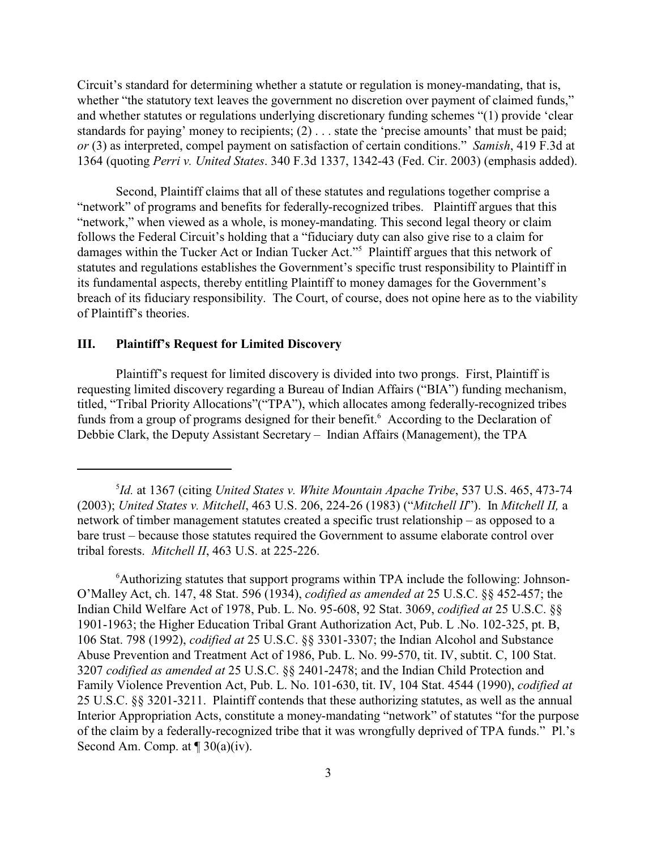Circuit's standard for determining whether a statute or regulation is money-mandating, that is, whether "the statutory text leaves the government no discretion over payment of claimed funds," and whether statutes or regulations underlying discretionary funding schemes "(1) provide 'clear standards for paying' money to recipients; (2) . . . state the 'precise amounts' that must be paid; *or* (3) as interpreted, compel payment on satisfaction of certain conditions." *Samish*, 419 F.3d at 1364 (quoting *Perri v. United States*. 340 F.3d 1337, 1342-43 (Fed. Cir. 2003) (emphasis added).

Second, Plaintiff claims that all of these statutes and regulations together comprise a "network" of programs and benefits for federally-recognized tribes. Plaintiff argues that this "network," when viewed as a whole, is money-mandating. This second legal theory or claim follows the Federal Circuit's holding that a "fiduciary duty can also give rise to a claim for damages within the Tucker Act or Indian Tucker Act."<sup>5</sup> Plaintiff argues that this network of statutes and regulations establishes the Government's specific trust responsibility to Plaintiff in its fundamental aspects, thereby entitling Plaintiff to money damages for the Government's breach of its fiduciary responsibility. The Court, of course, does not opine here as to the viability of Plaintiff's theories.

#### **III. Plaintiff's Request for Limited Discovery**

Plaintiff's request for limited discovery is divided into two prongs. First, Plaintiff is requesting limited discovery regarding a Bureau of Indian Affairs ("BIA") funding mechanism, titled, "Tribal Priority Allocations"("TPA"), which allocates among federally-recognized tribes funds from a group of programs designed for their benefit.<sup>6</sup> According to the Declaration of Debbie Clark, the Deputy Assistant Secretary – Indian Affairs (Management), the TPA

<sup>&</sup>lt;sup>5</sup>Id. at 1367 (citing *United States v. White Mountain Apache Tribe*, 537 U.S. 465, 473-74 (2003); *United States v. Mitchell*, 463 U.S. 206, 224-26 (1983) ("*Mitchell II*"). In *Mitchell II,* a network of timber management statutes created a specific trust relationship – as opposed to a bare trust – because those statutes required the Government to assume elaborate control over tribal forests. *Mitchell II*, 463 U.S. at 225-226.

<sup>&</sup>lt;sup>6</sup> Authorizing statutes that support programs within TPA include the following: Johnson-O'Malley Act, ch. 147, 48 Stat. 596 (1934), *codified as amended at* 25 U.S.C. §§ 452-457; the Indian Child Welfare Act of 1978, Pub. L. No. 95-608, 92 Stat. 3069, *codified at* 25 U.S.C. §§ 1901-1963; the Higher Education Tribal Grant Authorization Act, Pub. L .No. 102-325, pt. B, 106 Stat. 798 (1992), *codified at* 25 U.S.C. §§ 3301-3307; the Indian Alcohol and Substance Abuse Prevention and Treatment Act of 1986, Pub. L. No. 99-570, tit. IV, subtit. C, 100 Stat. 3207 *codified as amended at* 25 U.S.C. §§ 2401-2478; and the Indian Child Protection and Family Violence Prevention Act, Pub. L. No. 101-630, tit. IV, 104 Stat. 4544 (1990), *codified at* 25 U.S.C. §§ 3201-3211. Plaintiff contends that these authorizing statutes, as well as the annual Interior Appropriation Acts, constitute a money-mandating "network" of statutes "for the purpose of the claim by a federally-recognized tribe that it was wrongfully deprived of TPA funds." Pl.'s Second Am. Comp. at  $\P$  30(a)(iv).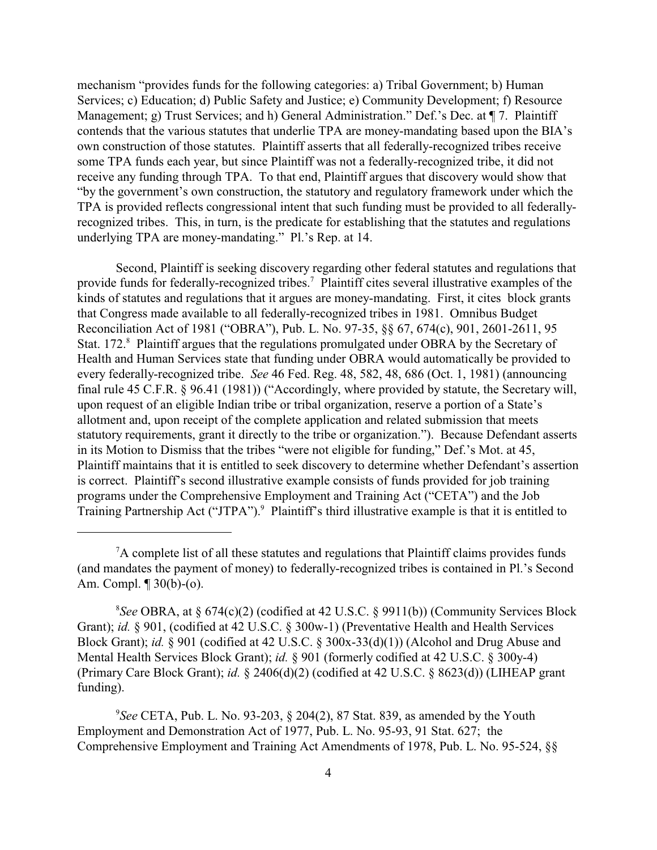mechanism "provides funds for the following categories: a) Tribal Government; b) Human Services; c) Education; d) Public Safety and Justice; e) Community Development; f) Resource Management; g) Trust Services; and h) General Administration." Def.'s Dec. at  $\P$  7. Plaintiff contends that the various statutes that underlie TPA are money-mandating based upon the BIA's own construction of those statutes. Plaintiff asserts that all federally-recognized tribes receive some TPA funds each year, but since Plaintiff was not a federally-recognized tribe, it did not receive any funding through TPA. To that end, Plaintiff argues that discovery would show that "by the government's own construction, the statutory and regulatory framework under which the TPA is provided reflects congressional intent that such funding must be provided to all federallyrecognized tribes. This, in turn, is the predicate for establishing that the statutes and regulations underlying TPA are money-mandating." Pl.'s Rep. at 14.

Second, Plaintiff is seeking discovery regarding other federal statutes and regulations that provide funds for federally-recognized tribes.<sup>7</sup> Plaintiff cites several illustrative examples of the kinds of statutes and regulations that it argues are money-mandating. First, it cites block grants that Congress made available to all federally-recognized tribes in 1981. Omnibus Budget Reconciliation Act of 1981 ("OBRA"), Pub. L. No. 97-35, §§ 67, 674(c), 901, 2601-2611, 95 Stat. 172.<sup>8</sup> Plaintiff argues that the regulations promulgated under OBRA by the Secretary of Health and Human Services state that funding under OBRA would automatically be provided to every federally-recognized tribe. *See* 46 Fed. Reg. 48, 582, 48, 686 (Oct. 1, 1981) (announcing final rule 45 C.F.R. § 96.41 (1981)) ("Accordingly, where provided by statute, the Secretary will, upon request of an eligible Indian tribe or tribal organization, reserve a portion of a State's allotment and, upon receipt of the complete application and related submission that meets statutory requirements, grant it directly to the tribe or organization."). Because Defendant asserts in its Motion to Dismiss that the tribes "were not eligible for funding," Def.'s Mot. at 45, Plaintiff maintains that it is entitled to seek discovery to determine whether Defendant's assertion is correct. Plaintiff's second illustrative example consists of funds provided for job training programs under the Comprehensive Employment and Training Act ("CETA") and the Job Training Partnership Act ("JTPA").<sup>9</sup> Plaintiff's third illustrative example is that it is entitled to

*See* CETA, Pub. L. No. 93-203, § 204(2), 87 Stat. 839, as amended by the Youth <sup>9</sup> Employment and Demonstration Act of 1977, Pub. L. No. 95-93, 91 Stat. 627; the Comprehensive Employment and Training Act Amendments of 1978, Pub. L. No. 95-524, §§

 ${}^{7}$ A complete list of all these statutes and regulations that Plaintiff claims provides funds (and mandates the payment of money) to federally-recognized tribes is contained in Pl.'s Second Am. Compl. ¶ 30(b)-(o).

<sup>&</sup>lt;sup>8</sup>See OBRA, at  $\S 674(c)(2)$  (codified at 42 U.S.C.  $\S 9911(b)$ ) (Community Services Block Grant); *id.* § 901, (codified at 42 U.S.C. § 300w-1) (Preventative Health and Health Services Block Grant); *id.* § 901 (codified at 42 U.S.C. § 300x-33(d)(1)) (Alcohol and Drug Abuse and Mental Health Services Block Grant); *id.* § 901 (formerly codified at 42 U.S.C. § 300y-4) (Primary Care Block Grant); *id.* § 2406(d)(2) (codified at 42 U.S.C. § 8623(d)) (LIHEAP grant funding).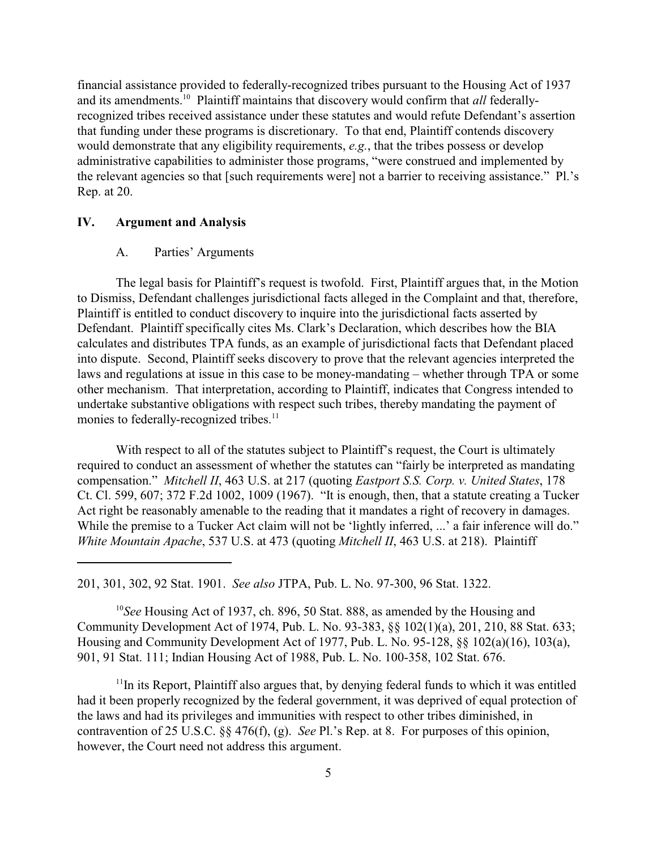financial assistance provided to federally-recognized tribes pursuant to the Housing Act of 1937 and its amendments.<sup>10</sup> Plaintiff maintains that discovery would confirm that *all* federallyrecognized tribes received assistance under these statutes and would refute Defendant's assertion that funding under these programs is discretionary. To that end, Plaintiff contends discovery would demonstrate that any eligibility requirements, *e.g.*, that the tribes possess or develop administrative capabilities to administer those programs, "were construed and implemented by the relevant agencies so that [such requirements were] not a barrier to receiving assistance." Pl.'s Rep. at 20.

#### **IV. Argument and Analysis**

#### A. Parties' Arguments

The legal basis for Plaintiff's request is twofold. First, Plaintiff argues that, in the Motion to Dismiss, Defendant challenges jurisdictional facts alleged in the Complaint and that, therefore, Plaintiff is entitled to conduct discovery to inquire into the jurisdictional facts asserted by Defendant. Plaintiff specifically cites Ms. Clark's Declaration, which describes how the BIA calculates and distributes TPA funds, as an example of jurisdictional facts that Defendant placed into dispute. Second, Plaintiff seeks discovery to prove that the relevant agencies interpreted the laws and regulations at issue in this case to be money-mandating – whether through TPA or some other mechanism. That interpretation, according to Plaintiff, indicates that Congress intended to undertake substantive obligations with respect such tribes, thereby mandating the payment of monies to federally-recognized tribes.<sup>11</sup>

With respect to all of the statutes subject to Plaintiff's request, the Court is ultimately required to conduct an assessment of whether the statutes can "fairly be interpreted as mandating compensation." *Mitchell II*, 463 U.S. at 217 (quoting *Eastport S.S. Corp. v. United States*, 178 Ct. Cl. 599, 607; 372 F.2d 1002, 1009 (1967). "It is enough, then, that a statute creating a Tucker Act right be reasonably amenable to the reading that it mandates a right of recovery in damages. While the premise to a Tucker Act claim will not be 'lightly inferred, ...' a fair inference will do." *White Mountain Apache*, 537 U.S. at 473 (quoting *Mitchell II*, 463 U.S. at 218). Plaintiff

201, 301, 302, 92 Stat. 1901. *See also* JTPA, Pub. L. No. 97-300, 96 Stat. 1322.

<sup>10</sup>See Housing Act of 1937, ch. 896, 50 Stat. 888, as amended by the Housing and Community Development Act of 1974, Pub. L. No. 93-383, §§ 102(1)(a), 201, 210, 88 Stat. 633; Housing and Community Development Act of 1977, Pub. L. No. 95-128, §§ 102(a)(16), 103(a), 901, 91 Stat. 111; Indian Housing Act of 1988, Pub. L. No. 100-358, 102 Stat. 676.

 $<sup>11</sup>$  In its Report, Plaintiff also argues that, by denying federal funds to which it was entitled</sup> had it been properly recognized by the federal government, it was deprived of equal protection of the laws and had its privileges and immunities with respect to other tribes diminished, in contravention of 25 U.S.C. §§ 476(f), (g). *See* Pl.'s Rep. at 8. For purposes of this opinion, however, the Court need not address this argument.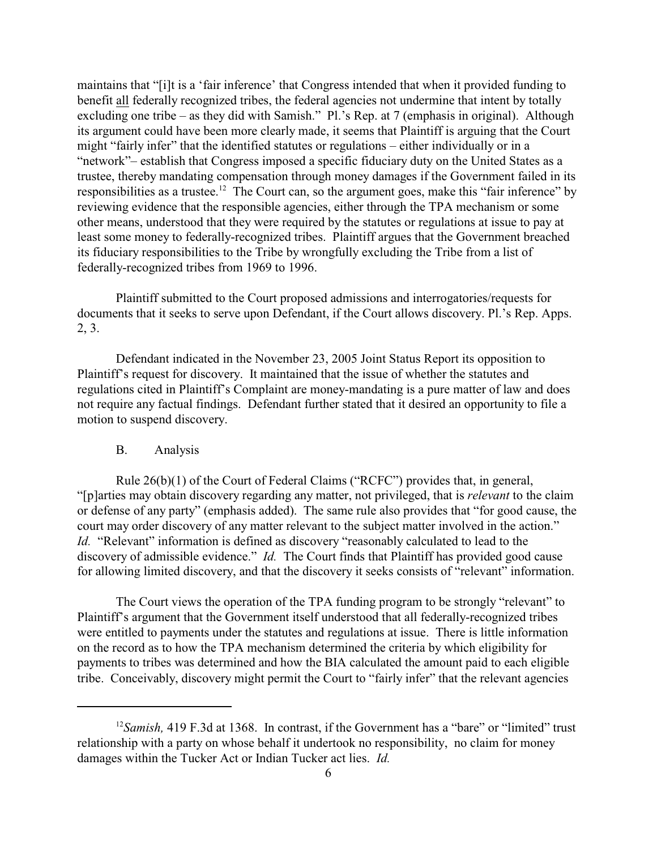maintains that "[i]t is a 'fair inference' that Congress intended that when it provided funding to benefit all federally recognized tribes, the federal agencies not undermine that intent by totally excluding one tribe – as they did with Samish." Pl.'s Rep. at 7 (emphasis in original). Although its argument could have been more clearly made, it seems that Plaintiff is arguing that the Court might "fairly infer" that the identified statutes or regulations – either individually or in a "network"– establish that Congress imposed a specific fiduciary duty on the United States as a trustee, thereby mandating compensation through money damages if the Government failed in its responsibilities as a trustee.<sup>12</sup> The Court can, so the argument goes, make this "fair inference" by reviewing evidence that the responsible agencies, either through the TPA mechanism or some other means, understood that they were required by the statutes or regulations at issue to pay at least some money to federally-recognized tribes. Plaintiff argues that the Government breached its fiduciary responsibilities to the Tribe by wrongfully excluding the Tribe from a list of federally-recognized tribes from 1969 to 1996.

Plaintiff submitted to the Court proposed admissions and interrogatories/requests for documents that it seeks to serve upon Defendant, if the Court allows discovery. Pl.'s Rep. Apps. 2, 3.

Defendant indicated in the November 23, 2005 Joint Status Report its opposition to Plaintiff's request for discovery. It maintained that the issue of whether the statutes and regulations cited in Plaintiff's Complaint are money-mandating is a pure matter of law and does not require any factual findings. Defendant further stated that it desired an opportunity to file a motion to suspend discovery.

#### B. Analysis

Rule 26(b)(1) of the Court of Federal Claims ("RCFC") provides that, in general, "[p]arties may obtain discovery regarding any matter, not privileged, that is *relevant* to the claim or defense of any party" (emphasis added). The same rule also provides that "for good cause, the court may order discovery of any matter relevant to the subject matter involved in the action." *Id.* "Relevant" information is defined as discovery "reasonably calculated to lead to the discovery of admissible evidence." *Id.* The Court finds that Plaintiff has provided good cause for allowing limited discovery, and that the discovery it seeks consists of "relevant" information.

The Court views the operation of the TPA funding program to be strongly "relevant" to Plaintiff's argument that the Government itself understood that all federally-recognized tribes were entitled to payments under the statutes and regulations at issue. There is little information on the record as to how the TPA mechanism determined the criteria by which eligibility for payments to tribes was determined and how the BIA calculated the amount paid to each eligible tribe. Conceivably, discovery might permit the Court to "fairly infer" that the relevant agencies

<sup>&</sup>lt;sup>12</sup> Samish, 419 F.3d at 1368. In contrast, if the Government has a "bare" or "limited" trust relationship with a party on whose behalf it undertook no responsibility, no claim for money damages within the Tucker Act or Indian Tucker act lies. *Id.*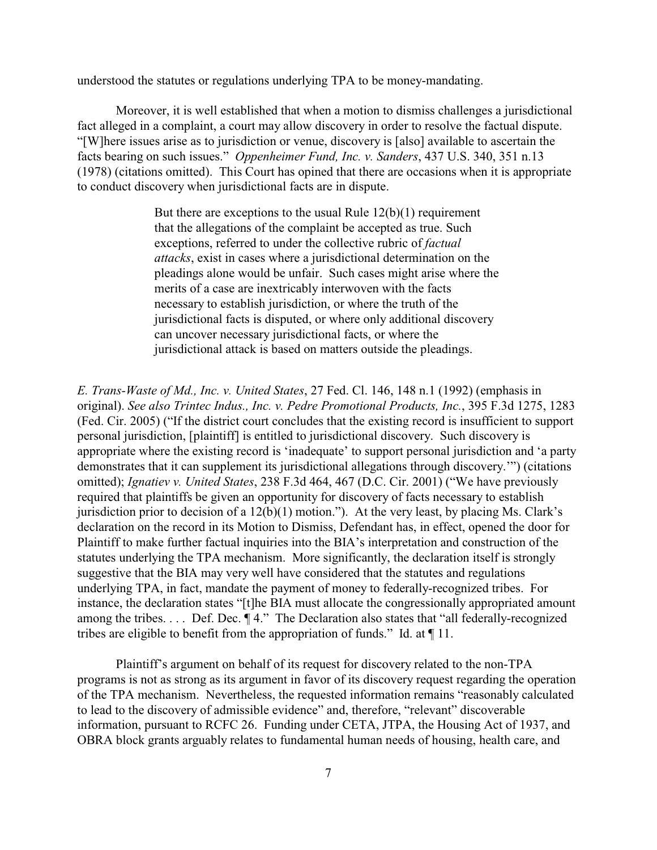understood the statutes or regulations underlying TPA to be money-mandating.

Moreover, it is well established that when a motion to dismiss challenges a jurisdictional fact alleged in a complaint, a court may allow discovery in order to resolve the factual dispute. "[W]here issues arise as to jurisdiction or venue, discovery is [also] available to ascertain the facts bearing on such issues." *Oppenheimer Fund, Inc. v. Sanders*, 437 U.S. 340, 351 n.13 (1978) (citations omitted). This Court has opined that there are occasions when it is appropriate to conduct discovery when jurisdictional facts are in dispute.

> But there are exceptions to the usual Rule  $12(b)(1)$  requirement that the allegations of the complaint be accepted as true. Such exceptions, referred to under the collective rubric of *factual attacks*, exist in cases where a jurisdictional determination on the pleadings alone would be unfair. Such cases might arise where the merits of a case are inextricably interwoven with the facts necessary to establish jurisdiction, or where the truth of the jurisdictional facts is disputed, or where only additional discovery can uncover necessary jurisdictional facts, or where the jurisdictional attack is based on matters outside the pleadings.

*E. Trans-Waste of Md., Inc. v. United States*, 27 Fed. Cl. 146, 148 n.1 (1992) (emphasis in original). *See also Trintec Indus., Inc. v. Pedre Promotional Products, Inc.*, 395 F.3d 1275, 1283 (Fed. Cir. 2005) ("If the district court concludes that the existing record is insufficient to support personal jurisdiction, [plaintiff] is entitled to jurisdictional discovery. Such discovery is appropriate where the existing record is 'inadequate' to support personal jurisdiction and 'a party demonstrates that it can supplement its jurisdictional allegations through discovery.'") (citations omitted); *Ignatiev v. United States*, 238 F.3d 464, 467 (D.C. Cir. 2001) ("We have previously required that plaintiffs be given an opportunity for discovery of facts necessary to establish jurisdiction prior to decision of a 12(b)(1) motion."). At the very least, by placing Ms. Clark's declaration on the record in its Motion to Dismiss, Defendant has, in effect, opened the door for Plaintiff to make further factual inquiries into the BIA's interpretation and construction of the statutes underlying the TPA mechanism. More significantly, the declaration itself is strongly suggestive that the BIA may very well have considered that the statutes and regulations underlying TPA, in fact, mandate the payment of money to federally-recognized tribes. For instance, the declaration states "[t]he BIA must allocate the congressionally appropriated amount among the tribes. . . . Def. Dec. ¶ 4." The Declaration also states that "all federally-recognized tribes are eligible to benefit from the appropriation of funds." Id. at ¶ 11.

Plaintiff's argument on behalf of its request for discovery related to the non-TPA programs is not as strong as its argument in favor of its discovery request regarding the operation of the TPA mechanism. Nevertheless, the requested information remains "reasonably calculated to lead to the discovery of admissible evidence" and, therefore, "relevant" discoverable information, pursuant to RCFC 26. Funding under CETA, JTPA, the Housing Act of 1937, and OBRA block grants arguably relates to fundamental human needs of housing, health care, and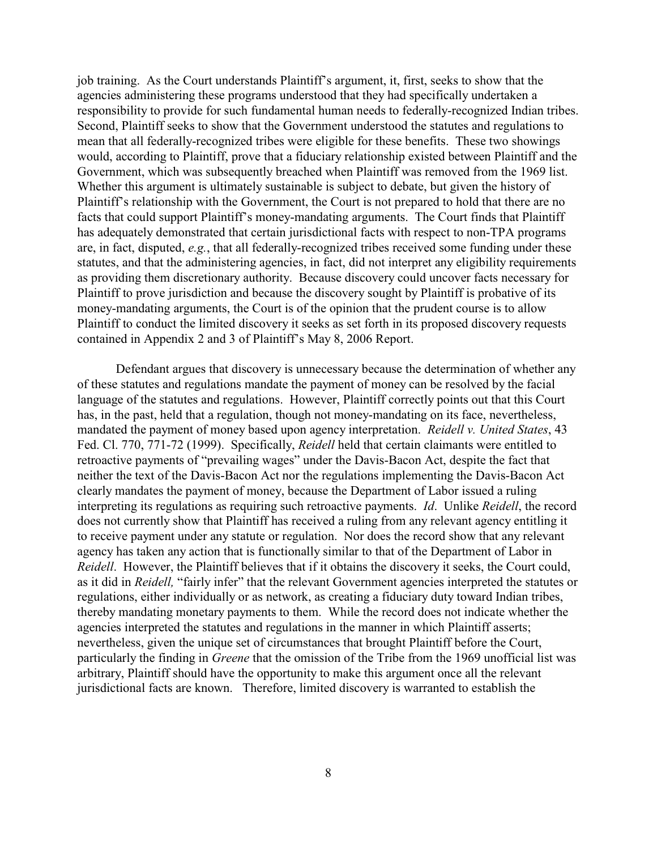job training. As the Court understands Plaintiff's argument, it, first, seeks to show that the agencies administering these programs understood that they had specifically undertaken a responsibility to provide for such fundamental human needs to federally-recognized Indian tribes. Second, Plaintiff seeks to show that the Government understood the statutes and regulations to mean that all federally-recognized tribes were eligible for these benefits. These two showings would, according to Plaintiff, prove that a fiduciary relationship existed between Plaintiff and the Government, which was subsequently breached when Plaintiff was removed from the 1969 list. Whether this argument is ultimately sustainable is subject to debate, but given the history of Plaintiff's relationship with the Government, the Court is not prepared to hold that there are no facts that could support Plaintiff's money-mandating arguments. The Court finds that Plaintiff has adequately demonstrated that certain jurisdictional facts with respect to non-TPA programs are, in fact, disputed, *e.g.*, that all federally-recognized tribes received some funding under these statutes, and that the administering agencies, in fact, did not interpret any eligibility requirements as providing them discretionary authority. Because discovery could uncover facts necessary for Plaintiff to prove jurisdiction and because the discovery sought by Plaintiff is probative of its money-mandating arguments, the Court is of the opinion that the prudent course is to allow Plaintiff to conduct the limited discovery it seeks as set forth in its proposed discovery requests contained in Appendix 2 and 3 of Plaintiff's May 8, 2006 Report.

Defendant argues that discovery is unnecessary because the determination of whether any of these statutes and regulations mandate the payment of money can be resolved by the facial language of the statutes and regulations. However, Plaintiff correctly points out that this Court has, in the past, held that a regulation, though not money-mandating on its face, nevertheless, mandated the payment of money based upon agency interpretation. *Reidell v. United States*, 43 Fed. Cl. 770, 771-72 (1999). Specifically, *Reidell* held that certain claimants were entitled to retroactive payments of "prevailing wages" under the Davis-Bacon Act, despite the fact that neither the text of the Davis-Bacon Act nor the regulations implementing the Davis-Bacon Act clearly mandates the payment of money, because the Department of Labor issued a ruling interpreting its regulations as requiring such retroactive payments. *Id*. Unlike *Reidell*, the record does not currently show that Plaintiff has received a ruling from any relevant agency entitling it to receive payment under any statute or regulation. Nor does the record show that any relevant agency has taken any action that is functionally similar to that of the Department of Labor in *Reidell*. However, the Plaintiff believes that if it obtains the discovery it seeks, the Court could, as it did in *Reidell,* "fairly infer" that the relevant Government agencies interpreted the statutes or regulations, either individually or as network, as creating a fiduciary duty toward Indian tribes, thereby mandating monetary payments to them. While the record does not indicate whether the agencies interpreted the statutes and regulations in the manner in which Plaintiff asserts; nevertheless, given the unique set of circumstances that brought Plaintiff before the Court, particularly the finding in *Greene* that the omission of the Tribe from the 1969 unofficial list was arbitrary, Plaintiff should have the opportunity to make this argument once all the relevant jurisdictional facts are known. Therefore, limited discovery is warranted to establish the